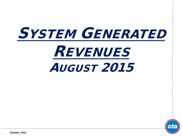# SYSTEM GENERATED REVENUES AUGUST 2015



**October, 2015**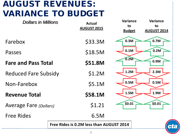## AUGUST REVENUES: VARIANCE TO BUDGET

| <b>Dollars in Millions</b>                     |  | <b>Actual</b><br><b>AUGUST 2015</b> | <b>Variance</b><br>to<br><b>Budget</b> | <b>Variance</b><br>to<br><b>AUGUST 2014</b> |
|------------------------------------------------|--|-------------------------------------|----------------------------------------|---------------------------------------------|
| Farebox                                        |  | \$33.3M                             | 0.3M                                   | 0.7M                                        |
| Passes                                         |  | \$18.5M                             | 0.1M                                   | 0.2M                                        |
| <b>Fare and Pass Total</b>                     |  | \$51.8M                             | 0.2M                                   | 0.9M                                        |
| <b>Reduced Fare Subsidy</b>                    |  | \$1.2M                              | 1.2M                                   | 2.3M                                        |
| Non-Farebox                                    |  | \$5.1M                              | 0.5M                                   | 0.5M                                        |
| <b>Revenue Total</b>                           |  | \$58.1M                             | 1.5M                                   | 1.9M                                        |
| <b>Average Fare (Dollars)</b>                  |  | \$1.21                              | \$0.01                                 | \$0.01                                      |
| <b>Free Rides</b>                              |  | 6.5M                                |                                        |                                             |
| Free Rides is 0.2M less than AUGUST 2014<br>CL |  |                                     |                                        |                                             |
|                                                |  |                                     |                                        |                                             |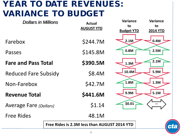### YEAR TO DATE REVENUES: VARIANCE TO BUDGET

| <b>Dollars in Millions</b>    |                                              | <b>Actual</b> | <b>Variance</b><br>to | <b>Variance</b><br>to |
|-------------------------------|----------------------------------------------|---------------|-----------------------|-----------------------|
|                               | <b>AUGUST YTD</b>                            |               | <b>Budget YTD</b>     | <b>2014 YTD</b>       |
| Farebox                       |                                              | \$244.7M      | 2.1M                  | 0.4M                  |
| Passes                        |                                              | \$145.8M      | 0.8M                  | 2.5M                  |
| <b>Fare and Pass Total</b>    |                                              | \$390.5M      | 1.3M                  | 2.1M                  |
| <b>Reduced Fare Subsidy</b>   |                                              | \$8.4M        | 10.4M                 | 5.9M                  |
| Non-Farebox                   |                                              | \$42.7M       | 1.8M                  | 1.3M                  |
| <b>Revenue Total</b>          |                                              | \$441.6M      | 9.9M                  | 5.1M                  |
| <b>Average Fare (Dollars)</b> |                                              | \$1.14        | \$0.01                |                       |
| <b>Free Rides</b>             |                                              | 48.1M         |                       |                       |
|                               | Free Rides is 2.3M less than AUGUST 2014 YTD | <b>Ct</b>     |                       |                       |
|                               |                                              |               |                       |                       |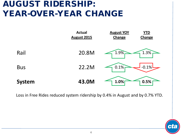#### AUGUST RIDERSHIP: YEAR-OVER-YEAR CHANGE



Loss in Free Rides reduced system ridership by 0.4% in August and by 0.7% YTD.

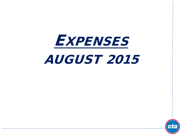# **EXPENSES** AUGUST 2015

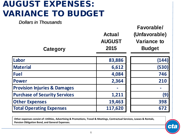## AUGUST EXPENSES: VARIANCE TO BUDGET

*Dollars in Thousands*

| Category                                | <b>Actual</b><br><b>AUGUST</b><br>2015 | Favorable/<br>(Unfavorable)<br><b>Variance to</b><br><b>Budget</b> |
|-----------------------------------------|----------------------------------------|--------------------------------------------------------------------|
| Labor                                   | 83,886                                 | (144)                                                              |
| <b>Material</b>                         | 6,612                                  | (530)                                                              |
| <b>Fuel</b>                             | 4,084                                  | 746                                                                |
| <b>Power</b>                            | 2,364                                  | 210                                                                |
| <b>Provision Injuries &amp; Damages</b> |                                        |                                                                    |
| <b>Purchase of Security Services</b>    | 1,211                                  | (9)                                                                |
| <b>Other Expenses</b>                   | 19,463                                 | 398                                                                |
| <b>Total Operating Expenses</b>         | 117,620                                | 672                                                                |

**Other expenses consist of: Utilities, Advertising & Promotions, Travel & Meetings, Contractual Services, Leases & Rentals, Pension Obligation Bond, and General Expenses.**

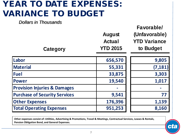### YEAR TO DATE EXPENSES: VARIANCE TO BUDGET

*Dollars in Thousands*

| Category                                | <b>August</b><br><b>Actual</b><br><b>YTD 2015</b> | Favorable/<br>(Unfavorable)<br><b>YTD Variance</b><br>to Budget |
|-----------------------------------------|---------------------------------------------------|-----------------------------------------------------------------|
| Labor                                   | 656,570                                           | 9,805                                                           |
| Material                                | 55,331                                            | (7, 181)                                                        |
| <b>Fuel</b>                             | 33,875                                            | 3,303                                                           |
| <b>Power</b>                            | 19,540                                            | 1,017                                                           |
| <b>Provision Injuries &amp; Damages</b> |                                                   |                                                                 |
| <b>Purchase of Security Services</b>    | 9,541                                             | 77                                                              |
| <b>Other Expenses</b>                   | 176,396                                           | 1,139                                                           |
| <b>Total Operating Expenses</b>         | 951,253                                           | 8,160                                                           |

**Other expenses consist of: Utilities, Advertising & Promotions, Travel & Meetings, Contractual Services, Leases & Rentals, Pension Obligation Bond, and General Expenses.**